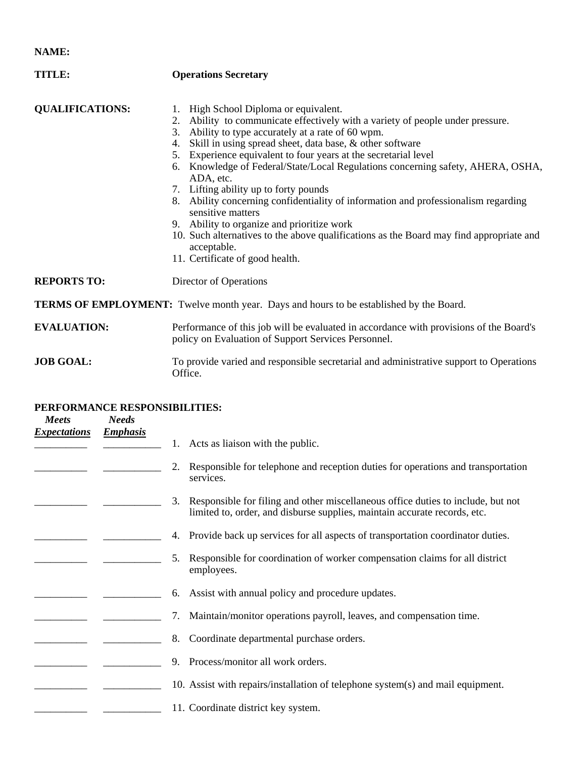**NAME:** 

| TITLE:                                                                                        | <b>Operations Secretary</b>                                                                                                                                                                                                                                                                                                                                                                                                                                                                                                                                                                                                                                                                                                                                          |  |  |  |
|-----------------------------------------------------------------------------------------------|----------------------------------------------------------------------------------------------------------------------------------------------------------------------------------------------------------------------------------------------------------------------------------------------------------------------------------------------------------------------------------------------------------------------------------------------------------------------------------------------------------------------------------------------------------------------------------------------------------------------------------------------------------------------------------------------------------------------------------------------------------------------|--|--|--|
| <b>QUALIFICATIONS:</b>                                                                        | 1. High School Diploma or equivalent.<br>2. Ability to communicate effectively with a variety of people under pressure.<br>3. Ability to type accurately at a rate of 60 wpm.<br>Skill in using spread sheet, data base, & other software<br>4.<br>Experience equivalent to four years at the secretarial level<br>5.<br>6. Knowledge of Federal/State/Local Regulations concerning safety, AHERA, OSHA,<br>ADA, etc.<br>7. Lifting ability up to forty pounds<br>8. Ability concerning confidentiality of information and professionalism regarding<br>sensitive matters<br>9. Ability to organize and prioritize work<br>10. Such alternatives to the above qualifications as the Board may find appropriate and<br>acceptable.<br>11. Certificate of good health. |  |  |  |
| <b>REPORTS TO:</b>                                                                            | Director of Operations                                                                                                                                                                                                                                                                                                                                                                                                                                                                                                                                                                                                                                                                                                                                               |  |  |  |
| <b>TERMS OF EMPLOYMENT:</b> Twelve month year. Days and hours to be established by the Board. |                                                                                                                                                                                                                                                                                                                                                                                                                                                                                                                                                                                                                                                                                                                                                                      |  |  |  |
| <b>EVALUATION:</b>                                                                            | Performance of this job will be evaluated in accordance with provisions of the Board's<br>policy on Evaluation of Support Services Personnel.                                                                                                                                                                                                                                                                                                                                                                                                                                                                                                                                                                                                                        |  |  |  |

**JOB GOAL:** To provide varied and responsible secretarial and administrative support to Operations Office.

## **PERFORMANCE RESPONSIBILITIES:**

| <b>Meets</b><br><b>Expectations</b> | <b>Needs</b><br><b>Emphasis</b> |    |                                                                                                                                                               |
|-------------------------------------|---------------------------------|----|---------------------------------------------------------------------------------------------------------------------------------------------------------------|
|                                     |                                 |    | Acts as liaison with the public.                                                                                                                              |
|                                     |                                 | 2. | Responsible for telephone and reception duties for operations and transportation<br>services.                                                                 |
|                                     |                                 | 3. | Responsible for filing and other miscellaneous office duties to include, but not<br>limited to, order, and disburse supplies, maintain accurate records, etc. |
|                                     |                                 | 4. | Provide back up services for all aspects of transportation coordinator duties.                                                                                |
|                                     |                                 | 5. | Responsible for coordination of worker compensation claims for all district<br>employees.                                                                     |
|                                     |                                 | 6. | Assist with annual policy and procedure updates.                                                                                                              |
|                                     |                                 | 7. | Maintain/monitor operations payroll, leaves, and compensation time.                                                                                           |
|                                     |                                 | 8. | Coordinate departmental purchase orders.                                                                                                                      |
|                                     |                                 | 9. | Process/monitor all work orders.                                                                                                                              |
|                                     |                                 |    | 10. Assist with repairs/installation of telephone system(s) and mail equipment.                                                                               |
|                                     |                                 |    | 11. Coordinate district key system.                                                                                                                           |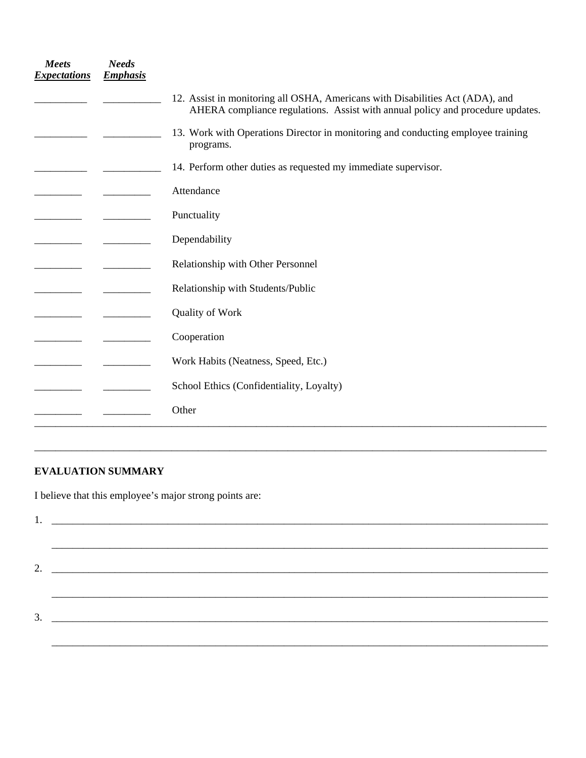| <b>Meets</b><br><b>Expectations</b> | <b>Needs</b><br><b>Emphasis</b> |                                                                                                                                                                 |
|-------------------------------------|---------------------------------|-----------------------------------------------------------------------------------------------------------------------------------------------------------------|
|                                     |                                 | 12. Assist in monitoring all OSHA, Americans with Disabilities Act (ADA), and<br>AHERA compliance regulations. Assist with annual policy and procedure updates. |
|                                     |                                 | 13. Work with Operations Director in monitoring and conducting employee training<br>programs.                                                                   |
|                                     |                                 | 14. Perform other duties as requested my immediate supervisor.                                                                                                  |
|                                     |                                 | Attendance                                                                                                                                                      |
|                                     |                                 | Punctuality                                                                                                                                                     |
|                                     |                                 | Dependability                                                                                                                                                   |
|                                     |                                 | Relationship with Other Personnel                                                                                                                               |
|                                     |                                 | Relationship with Students/Public                                                                                                                               |
|                                     |                                 | Quality of Work                                                                                                                                                 |
|                                     |                                 | Cooperation                                                                                                                                                     |
|                                     |                                 | Work Habits (Neatness, Speed, Etc.)                                                                                                                             |
|                                     |                                 | School Ethics (Confidentiality, Loyalty)                                                                                                                        |
|                                     |                                 | Other                                                                                                                                                           |

## **EVALUATION SUMMARY**

I believe that this employee's major strong points are:

| 3. |
|----|
|    |
|    |

\_\_\_\_\_\_\_\_\_\_\_\_\_\_\_\_\_\_\_\_\_\_\_\_\_\_\_\_\_\_\_\_\_\_\_\_\_\_\_\_\_\_\_\_\_\_\_\_\_\_\_\_\_\_\_\_\_\_\_\_\_\_\_\_\_\_\_\_\_\_\_\_\_\_\_\_\_\_\_\_\_\_\_\_\_\_\_\_\_\_\_\_\_\_\_\_\_